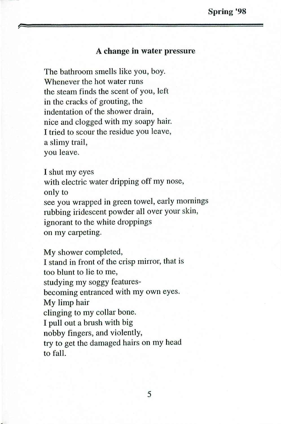## A change **in** water pressure

The bathroom smells like you, boy. Whenever the hot water runs the steam finds the scent of you, left in the cracks of grouting, the indentation of the shower drain, nice and clogged with my soapy hair. I tried to scour the residue you leave, a slimy trail, you leave.

Ishut my eyes with electric water dripping off my nose, only to see you wrapped in green towel, early mornings rubbing iridescent powder all over your skin, ignorant to the white droppings on my carpeting.

My shower completed, Istand in front of the crisp mirror, that is too blunt to lie to me, studying my soggy featuresbecoming entranced with my own eyes. My limp hair clinging to my collar bone. Ipull out <sup>a</sup> brush with big nobby fingers, and violently, try to get the damaged hairs on my head to fall.